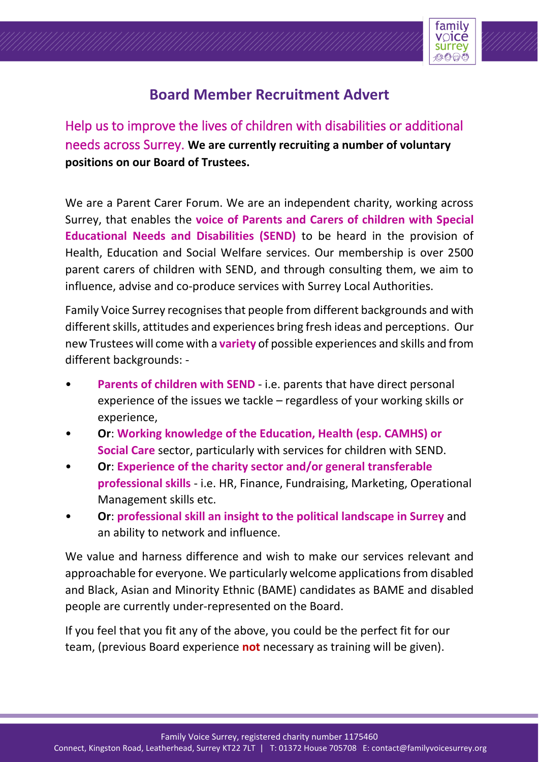

# **Board Member Recruitment Advert**

Help us to improve the lives of children with disabilities or additional needs across Surrey. **We are currently recruiting a number of voluntary positions on our Board of Trustees.**

We are a Parent Carer Forum. We are an independent charity, working across Surrey, that enables the **voice of Parents and Carers of children with Special Educational Needs and Disabilities (SEND)** to be heard in the provision of Health, Education and Social Welfare services. Our membership is over 2500 parent carers of children with SEND, and through consulting them, we aim to influence, advise and co-produce services with Surrey Local Authorities.

Family Voice Surrey recognises that people from different backgrounds and with different skills, attitudes and experiences bring fresh ideas and perceptions. Our new Trustees will come with a **variety** of possible experiences and skills and from different backgrounds: -

- **Parents of children with SEND** i.e. parents that have direct personal experience of the issues we tackle – regardless of your working skills or experience,
- **Or**: **Working knowledge of the Education, Health (esp. CAMHS) or Social Care** sector, particularly with services for children with SEND.
- **Or**: **Experience of the charity sector and/or general transferable professional skills** - i.e. HR, Finance, Fundraising, Marketing, Operational Management skills etc.
- **Or**: **professional skill an insight to the political landscape in Surrey** and an ability to network and influence.

We value and harness difference and wish to make our services relevant and approachable for everyone. We particularly welcome applications from disabled and Black, Asian and Minority Ethnic (BAME) candidates as BAME and disabled people are currently under-represented on the Board.

If you feel that you fit any of the above, you could be the perfect fit for our team, (previous Board experience **not** necessary as training will be given).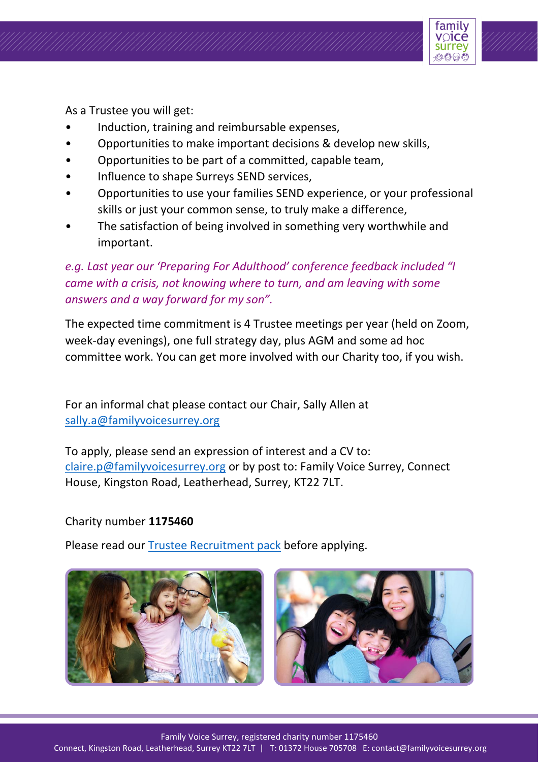

As a Trustee you will get:

- Induction, training and reimbursable expenses,
- Opportunities to make important decisions & develop new skills,
- Opportunities to be part of a committed, capable team,
- Influence to shape Surreys SEND services,
- Opportunities to use your families SEND experience, or your professional skills or just your common sense, to truly make a difference,
- The satisfaction of being involved in something very worthwhile and important.

*e.g. Last year our 'Preparing For Adulthood' conference feedback included "I came with a crisis, not knowing where to turn, and am leaving with some answers and a way forward for my son".*

The expected time commitment is 4 Trustee meetings per year (held on Zoom, week-day evenings), one full strategy day, plus AGM and some ad hoc committee work. You can get more involved with our Charity too, if you wish.

For an informal chat please contact our Chair, Sally Allen at sally.a@familyvoicesurrey.org

To apply, please send an expression of interest and a CV to: [claire.p@familyvoicesurrey.org](about:blank) or by post to: Family Voice Surrey, Connect House, Kingston Road, Leatherhead, Surrey, KT22 7LT.

### Charity number **1175460**

Please read our [Trustee Recruitment pack](https://www.familyvoicesurrey.org/become-a-trustee) before applying.



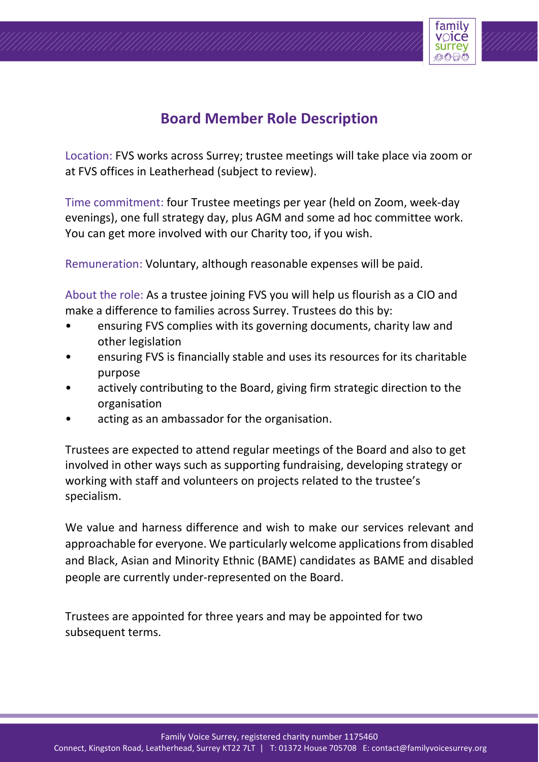

## **Board Member Role Description**

Location: FVS works across Surrey; trustee meetings will take place via zoom or at FVS offices in Leatherhead (subject to review).

Time commitment: four Trustee meetings per year (held on Zoom, week-day evenings), one full strategy day, plus AGM and some ad hoc committee work. You can get more involved with our Charity too, if you wish.

Remuneration: Voluntary, although reasonable expenses will be paid.

About the role: As a trustee joining FVS you will help us flourish as a CIO and make a difference to families across Surrey. Trustees do this by:

- ensuring FVS complies with its governing documents, charity law and other legislation
- ensuring FVS is financially stable and uses its resources for its charitable purpose
- actively contributing to the Board, giving firm strategic direction to the organisation
- acting as an ambassador for the organisation.

Trustees are expected to attend regular meetings of the Board and also to get involved in other ways such as supporting fundraising, developing strategy or working with staff and volunteers on projects related to the trustee's specialism.

We value and harness difference and wish to make our services relevant and approachable for everyone. We particularly welcome applications from disabled and Black, Asian and Minority Ethnic (BAME) candidates as BAME and disabled people are currently under-represented on the Board.

Trustees are appointed for three years and may be appointed for two subsequent terms.